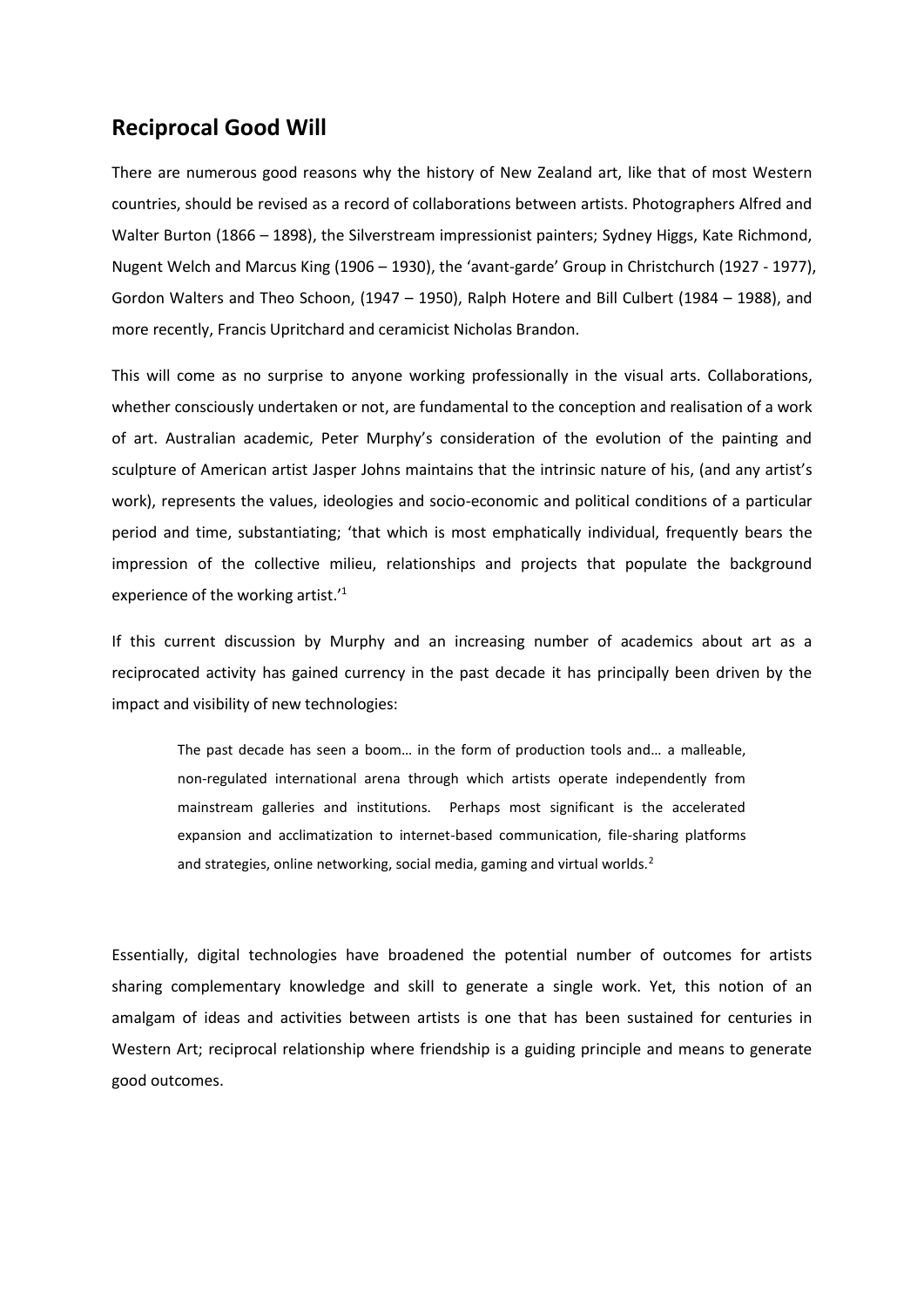## **Reciprocal Good Will**

There are numerous good reasons why the history of New Zealand art, like that of most Western countries, should be revised as a record of collaborations between artists. Photographers Alfred and Walter Burton (1866 – 1898), the Silverstream impressionist painters; Sydney Higgs, Kate Richmond, Nugent Welch and Marcus King (1906 – 1930), the 'avant-garde' Group in Christchurch (1927 - 1977), Gordon Walters and Theo Schoon, (1947 – 1950), Ralph Hotere and Bill Culbert (1984 – 1988), and more recently, Francis Upritchard and ceramicist Nicholas Brandon.

This will come as no surprise to anyone working professionally in the visual arts. Collaborations, whether consciously undertaken or not, are fundamental to the conception and realisation of a work of art. Australian academic, Peter Murphy's consideration of the evolution of the painting and sculpture of American artist Jasper Johns maintains that the intrinsic nature of his, (and any artist's work), represents the values, ideologies and socio-economic and political conditions of a particular period and time, substantiating; 'that which is most emphatically individual, frequently bears the impression of the collective milieu, relationships and projects that populate the background experience of the working artist.<sup>'1</sup>

If this current discussion by Murphy and an increasing number of academics about art as a reciprocated activity has gained currency in the past decade it has principally been driven by the impact and visibility of new technologies:

The past decade has seen a boom… in the form of production tools and… a malleable, non-regulated international arena through which artists operate independently from mainstream galleries and institutions. Perhaps most significant is the accelerated expansion and acclimatization to internet-based communication, file-sharing platforms and strategies, online networking, social media, gaming and virtual worlds.<sup>2</sup>

Essentially, digital technologies have broadened the potential number of outcomes for artists sharing complementary knowledge and skill to generate a single work. Yet, this notion of an amalgam of ideas and activities between artists is one that has been sustained for centuries in Western Art; reciprocal relationship where friendship is a guiding principle and means to generate good outcomes.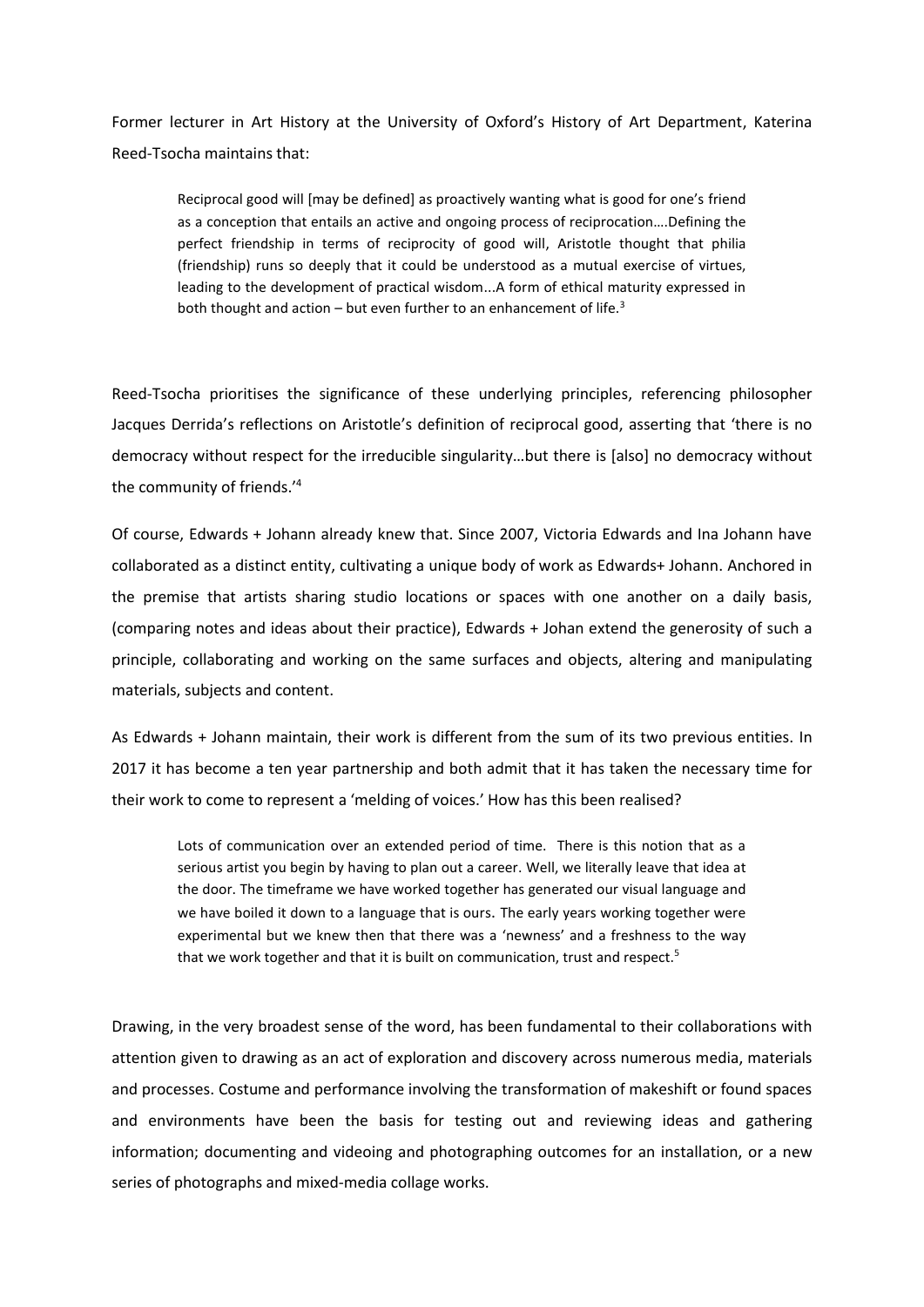Former lecturer in Art History at the University of Oxford's History of Art Department, Katerina Reed-Tsocha maintains that:

Reciprocal good will [may be defined] as proactively wanting what is good for one's friend as a conception that entails an active and ongoing process of reciprocation….Defining the perfect friendship in terms of reciprocity of good will, Aristotle thought that philia (friendship) runs so deeply that it could be understood as a mutual exercise of virtues, leading to the development of practical wisdom...A form of ethical maturity expressed in both thought and action – but even further to an enhancement of life.<sup>3</sup>

Reed-Tsocha prioritises the significance of these underlying principles, referencing philosopher Jacques Derrida's reflections on Aristotle's definition of reciprocal good, asserting that 'there is no democracy without respect for the irreducible singularity…but there is [also] no democracy without the community of friends.'<sup>4</sup>

Of course, Edwards + Johann already knew that. Since 2007, Victoria Edwards and Ina Johann have collaborated as a distinct entity, cultivating a unique body of work as Edwards+ Johann. Anchored in the premise that artists sharing studio locations or spaces with one another on a daily basis, (comparing notes and ideas about their practice), Edwards + Johan extend the generosity of such a principle, collaborating and working on the same surfaces and objects, altering and manipulating materials, subjects and content.

As Edwards + Johann maintain, their work is different from the sum of its two previous entities. In 2017 it has become a ten year partnership and both admit that it has taken the necessary time for their work to come to represent a 'melding of voices.' How has this been realised?

Lots of communication over an extended period of time. There is this notion that as a serious artist you begin by having to plan out a career. Well, we literally leave that idea at the door. The timeframe we have worked together has generated our visual language and we have boiled it down to a language that is ours. The early years working together were experimental but we knew then that there was a 'newness' and a freshness to the way that we work together and that it is built on communication, trust and respect.<sup>5</sup>

Drawing, in the very broadest sense of the word, has been fundamental to their collaborations with attention given to drawing as an act of exploration and discovery across numerous media, materials and processes. Costume and performance involving the transformation of makeshift or found spaces and environments have been the basis for testing out and reviewing ideas and gathering information; documenting and videoing and photographing outcomes for an installation, or a new series of photographs and mixed-media collage works.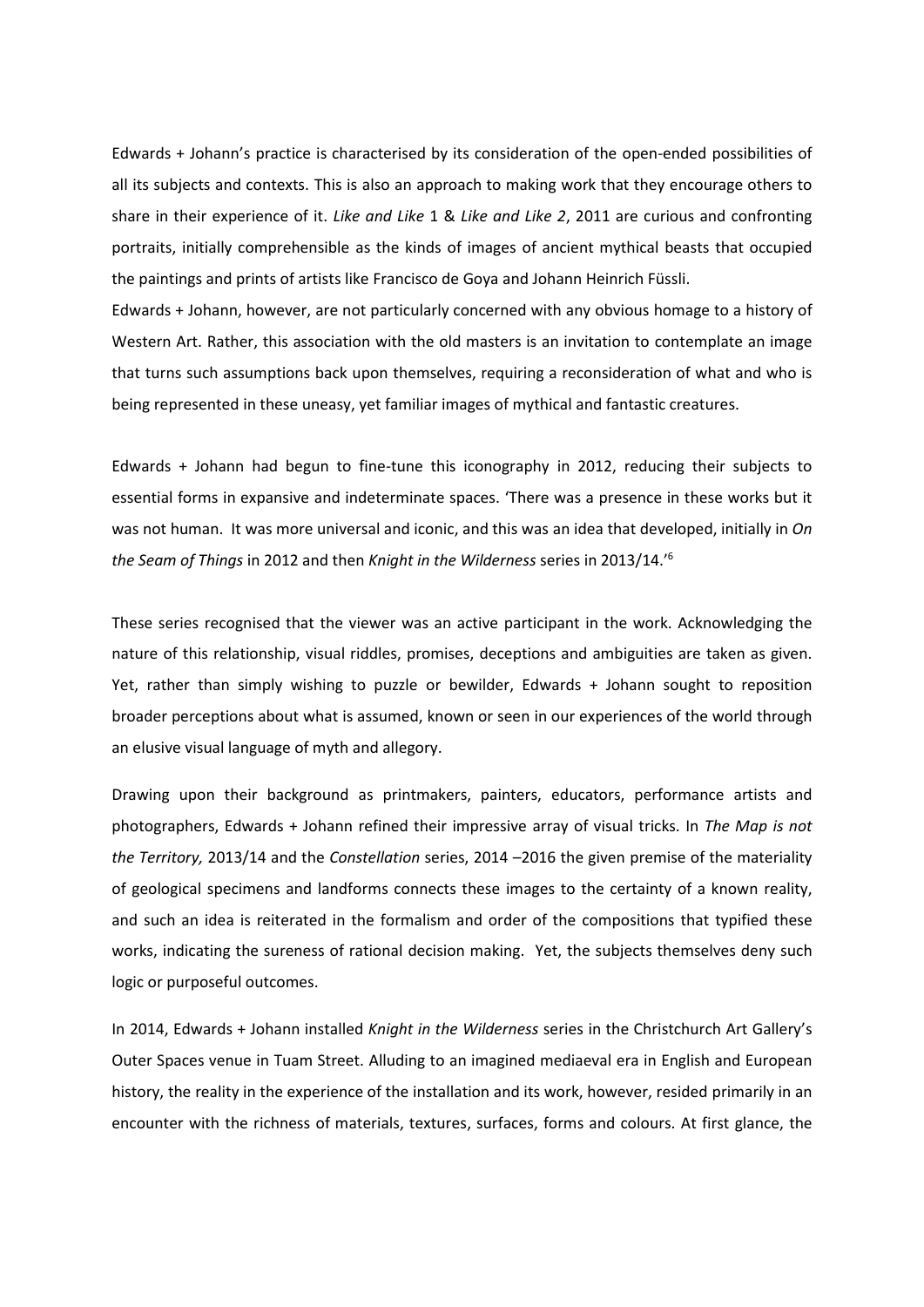Edwards + Johann's practice is characterised by its consideration of the open-ended possibilities of all its subjects and contexts. This is also an approach to making work that they encourage others to share in their experience of it. *Like and Like* 1 & *Like and Like 2*, 2011 are curious and confronting portraits, initially comprehensible as the kinds of images of ancient mythical beasts that occupied the paintings and prints of artists like Francisco de Goya and Johann Heinrich Füssli.

Edwards + Johann, however, are not particularly concerned with any obvious homage to a history of Western Art. Rather, this association with the old masters is an invitation to contemplate an image that turns such assumptions back upon themselves, requiring a reconsideration of what and who is being represented in these uneasy, yet familiar images of mythical and fantastic creatures.

Edwards + Johann had begun to fine-tune this iconography in 2012, reducing their subjects to essential forms in expansive and indeterminate spaces. 'There was a presence in these works but it was not human. It was more universal and iconic, and this was an idea that developed, initially in *On the Seam of Things* in 2012 and then *Knight in the Wilderness* series in 2013/14.'<sup>6</sup>

These series recognised that the viewer was an active participant in the work. Acknowledging the nature of this relationship, visual riddles, promises, deceptions and ambiguities are taken as given. Yet, rather than simply wishing to puzzle or bewilder, Edwards + Johann sought to reposition broader perceptions about what is assumed, known or seen in our experiences of the world through an elusive visual language of myth and allegory.

Drawing upon their background as printmakers, painters, educators, performance artists and photographers, Edwards + Johann refined their impressive array of visual tricks. In *The Map is not the Territory,* 2013/14 and the *Constellation* series, 2014 –2016 the given premise of the materiality of geological specimens and landforms connects these images to the certainty of a known reality, and such an idea is reiterated in the formalism and order of the compositions that typified these works, indicating the sureness of rational decision making. Yet, the subjects themselves deny such logic or purposeful outcomes.

In 2014, Edwards + Johann installed *Knight in the Wilderness* series in the Christchurch Art Gallery's Outer Spaces venue in Tuam Street. Alluding to an imagined mediaeval era in English and European history, the reality in the experience of the installation and its work, however, resided primarily in an encounter with the richness of materials, textures, surfaces, forms and colours. At first glance, the